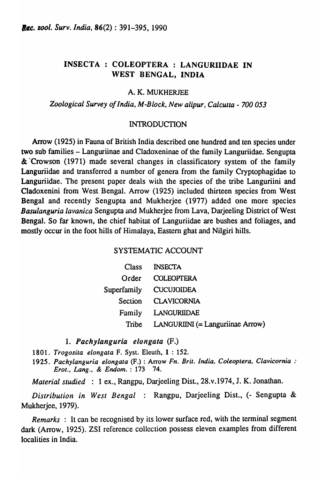# INSECTA: COLEOP'fERA : LANGURIIDAE IN WEST BENGAL, INDIA

### A. K. MUKHERJEE

### *Zoological Survey of India, M-Block, New alipur, Calcutta* - *700053*

### INTRODUCTION

Arrow (1925) in Fauna of British India described one hundred and ten species under two sub families - Languriinae and Cladoxeninae of the family Languriidae. Sengupta & 'Crowson (1971) made several changes in classificatory system of the family Languriidae and transferred a number of genera from the family Cryptophagidae to Languriidae. The present paper deals with the species of the tribe Languriini and Cladoxenini from West Bengal. Arrow (1925) included thirteen species from West Bengal and recently Sengupta and Mukherjee (1977) added one more species *Basulanguria lavanica* Sengupta and Mukherjee from Lava, Darjeeling District of West Bengal. So far known, the chief habitat of Languriidae are bushes and foliages, and mostly occur in the foot hills of Himalaya, Eastern ghat and Nilgiri hills.

## SYSTEMATIC ACCOUNT

|         | Class INSECTA                           |
|---------|-----------------------------------------|
| Order   | <b>COLEOPTERA</b>                       |
|         | Superfamily CUCUJOIDEA                  |
| Section | <b>CLAVICORNIA</b>                      |
|         | Family LANGURIIDAE                      |
| Tribe   | <b>LANGURIINI</b> (= Languriinae Arrow) |

1. Pachylanguria elongata  $(F.)$ 

*1801. Trogosila elongata* F. Syst. Eleuth, 1 : 152.

*1925. Pachylanguria elongata* (F.) : Arrow *Fn. Brit. India, Coleoptera, Clavicornia : Erot., Lang.,* & *Endom.* : 173 74.

*Material studied* : 1 ex., Rangpu, Darjeeling Dist., 28.v.1974, J. K. Jonathan.

*Distribution in West Bengal* : Rangpu, Darjeeling Dist., (- Sengupta & Mukherjee, 1979).

*Remarks* : It can be recognised by its lower surface red, with the terminal segment dark (Arrow, 1925). ZSI reference collection possess eleven examples from different localities in India.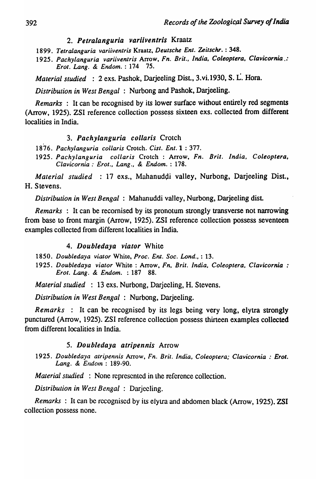## *2. Petralanguria variiventris* Kraatz

1899. *Tetralanguria variiventris* Kraatz. *Deutsche Ent. ZeitscM.* : 348.

1925. *Pachylanguria variiventris* Arrow, *Fn. Brit., India, Coleoptera. Clavicornia.: Erot. Lang.* & *Endom.* : 174 75.

*Material studied* : 2 exs. Pashok, Darjeeling DisL, 3.vi.1930, S. L. Hora.

*Distribution in West Bengal* : Nurbong and Pashok, Darjeeling.

*Remarks* : It can be recognised by its lower surface without entirely red segments (Arrow, 1925). ZSI reference collection possess sixteen exs. collected from different localities in India.

### *3. Pachylanguria collaris* Crotch

*1876. Pachylanguria collaris* Crotch. *Cist. Ent.l* : 377.

1925. *Pachylanguria collaris* Crotch : Arrow, *Fn. Brit. India, Coleoptera, Clavicornia* .' *Erot., Lang.,* & *Endom.* : 178.

*Material studied* : 17 exs., Mahanuddi valley, Nurbong, Darjeeling Dist., H. Stevens.

*Distribution in West Bengal:* Mahanuddi valley, Nurbong, Darjeeling dist.

*Remarks* : It can be recomised by its pronotum strongly transverse not narrowing from base to front margin (Arrow, 1925). ZSI reference collection possess seventeen examples collected from different localities in India.

#### *4. Doubledaya viator* White

- 1850. *Doubledaya viator* White, *Proc. Em. Soc. Lond.,* : 13.
- 1925. *Doubledaya viator* White : Arrow, *Fn, Brit. India, Coleoptera, Clavicornia : Erot. Lang. & Endom.* : 187 88.

*Material studied* : 13 exs. Nurbong, Darjeeling, H. Stevens.

*Distribution in West Bengal* : Nurbong, Darjeeling.

*Remarks* : It can be recognised by its legs being very long, elytra strongly punctured (Arrow, 1925). ZSI reference collection possess thirteen examples collected from different localities in India.

#### *5. Doubledaya atripennis* Arrow

1925. *Doubledaya atripennis Arrow, Fn. Brit. India, Coleoptera; Clavicornia : Erot.* Lang. & Endom: 189-90.

*Material studied* : None represented in the reference collection.

*Distribution in West Bengal* : Darjecling.

*Remarks:* It can be recognised by its elytra and abdomen black (Arrow, 1925). ZSI collection possess none.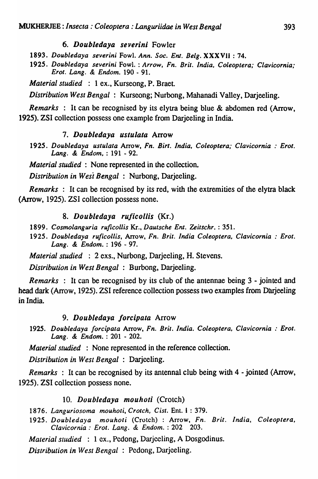### *6. Doubledaya severini* Fowler

*1893. Doubledaya severini* Fowl. *Ann. Soc. Enl. Belg.* XXXVii: 74.

*1925. Doubledaya severini* Fowl. : *Arrow. Fn. Brit. India, Coleoptera; Clavicornia; Erot. Lang.* & *Endom.* 190 - 91.

*Material studied* : 1 ex., Kurseong, P. Braet.

*Distribution West Bengal* : Kurseong; Nurbong, Mahanadi Valley, Darjeeling.

*Remarks* : It can be recognised by its elytra being blue & abdomen red (Arrow, 1925). ZSI collection possess one example from Darjeeling in India.

#### *7. Doubledaya ustulala* Arrow

*1925. Doubledaya ustulala* Arrow, *Fn. Birt. India, Coleoptera; Clavicornia* : *Erot. Lang.* & *Endom,* : 191 - 92.

*Material studied* : None represented in the collection.

*Distribution in Wesi Bengal:* Nurbong, Darjeeling.

*Remarks* : It can be recognised by its red, with the extremities of the elytra black (Arrow, 1925). ZSI collection possess none.

#### *8. Doubledaya ruficollis* (Kr.)

- *1899. Cosmolanguria ruficollis* Kr., *Dautsche Ent. Zeitschr.* : 351.
- *1925. Doubledaya ru[icol/is,* Arrow, *Fn. Brit. India Coleoptera, Clavicornia* : *Erot. Lang.* & *Endom.* : 196 - 97.

*Material studied* : 2 exs., Nurbong, Darjeeling, H. Stevens.

*Distribution in West Bengal* : Burbong, Darjeeling.

*Remarks* : It can be recognised by its club of the antennae being 3 - jointed and head dark (Arrow, 1925). ZSI reference collection possess two examples from Darjeeling in India.

#### 9. *Doubledaya forcipala* Arrow

*1925. Doubledaya forcipata* Arrow, *Fn. Brit. India. Coleoptera, Clavicornia* : *Erot. Lang.* & *Endom.* : 201 - 202.

*Material studied* : None represented in the reference collection.

*Distribution in West Bengal* : Darjceling.

*Remarks* : It can be recognised by its antennal club being with 4 - jointed (Arrow, 1925). ZSI collection possess none.

#### 10. Doubledaya mouhoti (Crotch)

*1876. Languriosoma mouhoti, Crotch, Cist.* Ent. 1 : 379.

1925. Doubledaya mouhoti (Crotch) : Arrow, Fn. Brit. India, Coleoptera, *Clavicornia: Erot. Lang.* & *Endom.* : 202 203.

*Malerial studied* : 1 ex., Pcdong, Darjccling, A Dosgodinus.

*Distribution in West Bengal* : Pedong, Darjceling.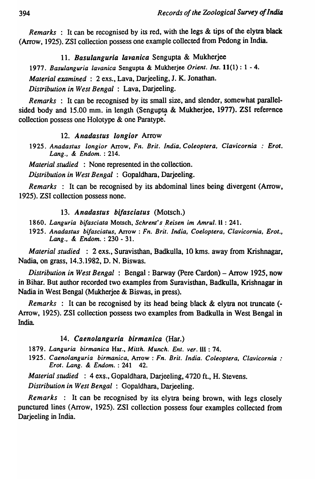*Remarks* : It can be recognised by its red, with the legs & tips of the elytra black (Arrow, 1925), ZSI collection possess one example collected from Pedong in India.

*11. Basulanguria lavanica* Sengupta & Mukherjee *1977, Basulanguria lavanica* Sengupta & Mukherjee *Orient. Ins.* 11(1) : 1 - 4. *Material examined* : 2 exs., Lava, Darjeeling, J. K. Jonathan. *Distribution in West Bengal:* Lava, Darjeeling.

*Remarks* : It can be recognised by its small size, and slender, somewhat parallelsided body and  $15.00$  mm. in length (Sengupta & Mukherjee, 1977). ZSI reference collection possess one Holotype & one Paratype.

## *12. Anadastus longior* Arrow

*1925. Anadastus longior* Arrow, *FIl. Brit. India, Coleoptera, Clavicornia* . *Erot. Lang.,* & *Endom.* : 214.

*Material studied* : None represented in the collection.

*Distribution in West Bengal* : Gopaldhara, Darjeeling.

*Remarks* : It can be recognised by its abdominal lines being divergent (Arrow, 1925). ZSI collection possess none.

## *13. Anadastus bifasciatus* (Motsch.)

- *1860. Languria bifasciata* Motsch, *Sehrent's Reisen im Amrul.* II : 241.
- 1925. Anadastus bifasciatus, Arrow : Fn. Brit. India, Coeloptera, Clavicornia, Erot., *Lang.,* & *Endom.* : 230 - 31.

*Material studied* : 2 exs., Suravisthan, Badkulla, 10 kms. away from Krishnagar, Nadia, on grass, 14.3.1982, D. N. Biswas.

*Distribution in West Bengal* : Bengal: Barway (pere Cardon) - Arrow 1925, now in Bihar. But author recorded two examples from Suravisthan, Badkulla, Krishnagar in Nadia in West Bengal (Mukherjee & Biswas, in press).

*Remarks* : It can be recognised by its head being black & elytra not truncate (- Arrow, 1925). ZSI collection possess two examples from Badkulla in West Bengal in India

## *14. Caenoianguria birmanica* (Har.)

1879. Languria birmanica Har., Mitth. Munch. Ent. ver. **iii**: 74.

*1925. Caenolanguria birmanica,* Arrow: *Fn. Brit. India. Coleoptera, Clavieornia* " *Erot. Lang.* & *Endom.* : 241 42.

*Material studied* : 4 eX\$., Gopaldhara, Darjeeling, 4720 ft., H. Stevens. *Distribution in West Bengal* : Gopaldhara, Darjeeling.

*Remarks* : It can be recognised by its elytra being brown, with legs closely punctured lines (Arrow, 1925). ZSI collection possess four examples collected from Darjeeling in India.